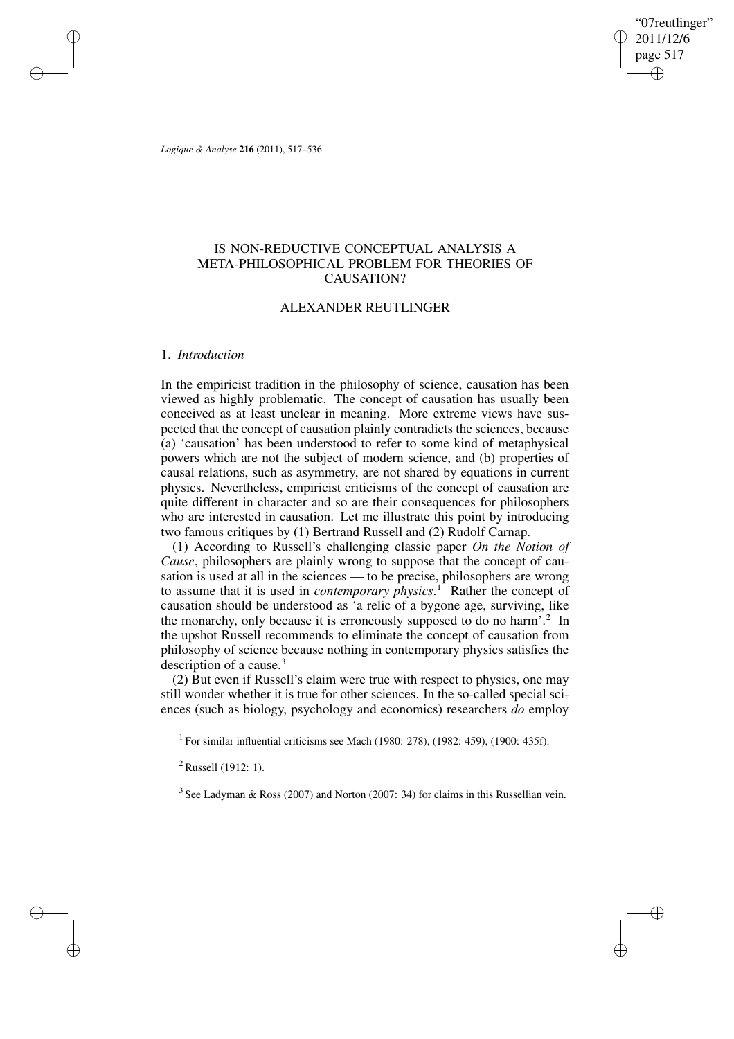"07reutlinger" 2011/12/6 page 517 ✐ ✐

✐

✐

*Logique & Analyse* **216** (2011), 517–536

✐

✐

✐

✐

# IS NON-REDUCTIVE CONCEPTUAL ANALYSIS A META-PHILOSOPHICAL PROBLEM FOR THEORIES OF CAUSATION?

# ALEXANDER REUTLINGER

### 1. *Introduction*

In the empiricist tradition in the philosophy of science, causation has been viewed as highly problematic. The concept of causation has usually been conceived as at least unclear in meaning. More extreme views have suspected that the concept of causation plainly contradicts the sciences, because (a) 'causation' has been understood to refer to some kind of metaphysical powers which are not the subject of modern science, and (b) properties of causal relations, such as asymmetry, are not shared by equations in current physics. Nevertheless, empiricist criticisms of the concept of causation are quite different in character and so are their consequences for philosophers who are interested in causation. Let me illustrate this point by introducing two famous critiques by (1) Bertrand Russell and (2) Rudolf Carnap.

(1) According to Russell's challenging classic paper *On the Notion of Cause*, philosophers are plainly wrong to suppose that the concept of causation is used at all in the sciences — to be precise, philosophers are wrong to assume that it is used in *contemporary physics*. <sup>1</sup> Rather the concept of causation should be understood as 'a relic of a bygone age, surviving, like the monarchy, only because it is erroneously supposed to do no harm'.<sup>2</sup> In the upshot Russell recommends to eliminate the concept of causation from philosophy of science because nothing in contemporary physics satisfies the description of a cause. $3$ 

(2) But even if Russell's claim were true with respect to physics, one may still wonder whether it is true for other sciences. In the so-called special sciences (such as biology, psychology and economics) researchers *do* employ

<sup>1</sup> For similar influential criticisms see Mach (1980: 278), (1982: 459), (1900: 435f).

<sup>2</sup> Russell (1912: 1).

 $3$  See Ladyman & Ross (2007) and Norton (2007: 34) for claims in this Russellian vein.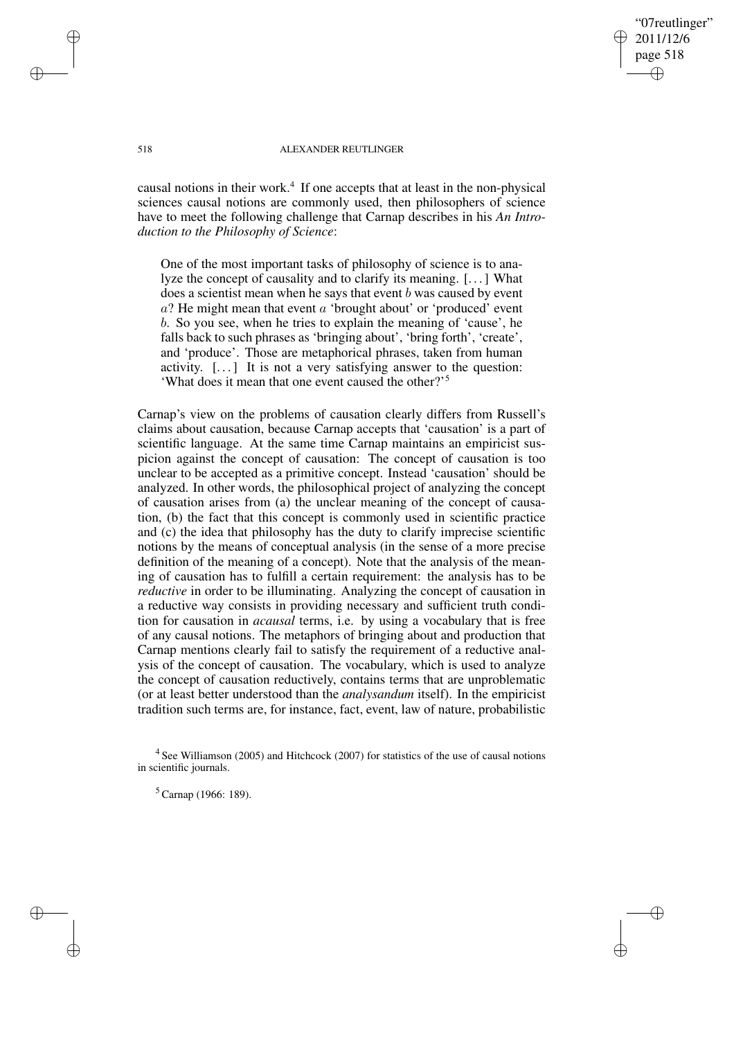"07reutlinger" 2011/12/6 page 518 ✐ ✐

✐

✐

### 518 ALEXANDER REUTLINGER

causal notions in their work.<sup>4</sup> If one accepts that at least in the non-physical sciences causal notions are commonly used, then philosophers of science have to meet the following challenge that Carnap describes in his *An Introduction to the Philosophy of Science*:

One of the most important tasks of philosophy of science is to analyze the concept of causality and to clarify its meaning. [. . .] What does a scientist mean when he says that event b was caused by event  $a$ ? He might mean that event  $a$  'brought about' or 'produced' event b. So you see, when he tries to explain the meaning of 'cause', he falls back to such phrases as 'bringing about', 'bring forth', 'create', and 'produce'. Those are metaphorical phrases, taken from human activity. [. . .] It is not a very satisfying answer to the question: 'What does it mean that one event caused the other?'<sup>5</sup>

Carnap's view on the problems of causation clearly differs from Russell's claims about causation, because Carnap accepts that 'causation' is a part of scientific language. At the same time Carnap maintains an empiricist suspicion against the concept of causation: The concept of causation is too unclear to be accepted as a primitive concept. Instead 'causation' should be analyzed. In other words, the philosophical project of analyzing the concept of causation arises from (a) the unclear meaning of the concept of causation, (b) the fact that this concept is commonly used in scientific practice and (c) the idea that philosophy has the duty to clarify imprecise scientific notions by the means of conceptual analysis (in the sense of a more precise definition of the meaning of a concept). Note that the analysis of the meaning of causation has to fulfill a certain requirement: the analysis has to be *reductive* in order to be illuminating. Analyzing the concept of causation in a reductive way consists in providing necessary and sufficient truth condition for causation in *acausal* terms, i.e. by using a vocabulary that is free of any causal notions. The metaphors of bringing about and production that Carnap mentions clearly fail to satisfy the requirement of a reductive analysis of the concept of causation. The vocabulary, which is used to analyze the concept of causation reductively, contains terms that are unproblematic (or at least better understood than the *analysandum* itself). In the empiricist tradition such terms are, for instance, fact, event, law of nature, probabilistic

✐

✐

✐

<sup>&</sup>lt;sup>4</sup> See Williamson (2005) and Hitchcock (2007) for statistics of the use of causal notions in scientific journals.

<sup>5</sup> Carnap (1966: 189).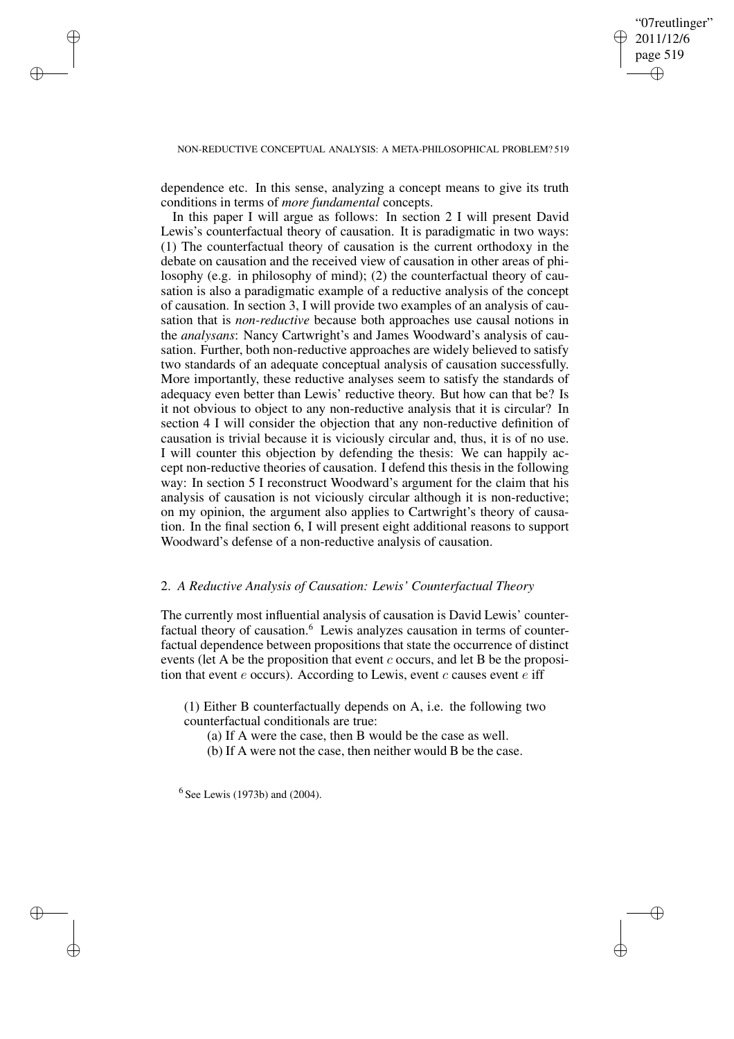✐

### NON-REDUCTIVE CONCEPTUAL ANALYSIS: A META-PHILOSOPHICAL PROBLEM? 519

✐

✐

✐

✐

dependence etc. In this sense, analyzing a concept means to give its truth conditions in terms of *more fundamental* concepts.

In this paper I will argue as follows: In section 2 I will present David Lewis's counterfactual theory of causation. It is paradigmatic in two ways: (1) The counterfactual theory of causation is the current orthodoxy in the debate on causation and the received view of causation in other areas of philosophy (e.g. in philosophy of mind); (2) the counterfactual theory of causation is also a paradigmatic example of a reductive analysis of the concept of causation. In section 3, I will provide two examples of an analysis of causation that is *non-reductive* because both approaches use causal notions in the *analysans*: Nancy Cartwright's and James Woodward's analysis of causation. Further, both non-reductive approaches are widely believed to satisfy two standards of an adequate conceptual analysis of causation successfully. More importantly, these reductive analyses seem to satisfy the standards of adequacy even better than Lewis' reductive theory. But how can that be? Is it not obvious to object to any non-reductive analysis that it is circular? In section 4 I will consider the objection that any non-reductive definition of causation is trivial because it is viciously circular and, thus, it is of no use. I will counter this objection by defending the thesis: We can happily accept non-reductive theories of causation. I defend this thesis in the following way: In section 5 I reconstruct Woodward's argument for the claim that his analysis of causation is not viciously circular although it is non-reductive; on my opinion, the argument also applies to Cartwright's theory of causation. In the final section 6, I will present eight additional reasons to support Woodward's defense of a non-reductive analysis of causation.

# 2. *A Reductive Analysis of Causation: Lewis' Counterfactual Theory*

The currently most influential analysis of causation is David Lewis' counterfactual theory of causation. $6$  Lewis analyzes causation in terms of counterfactual dependence between propositions that state the occurrence of distinct events (let A be the proposition that event  $c$  occurs, and let B be the proposition that event  $e$  occurs). According to Lewis, event  $c$  causes event  $e$  iff

(1) Either B counterfactually depends on A, i.e. the following two counterfactual conditionals are true:

(a) If A were the case, then B would be the case as well.

(b) If A were not the case, then neither would B be the case.

 $6$  See Lewis (1973b) and (2004).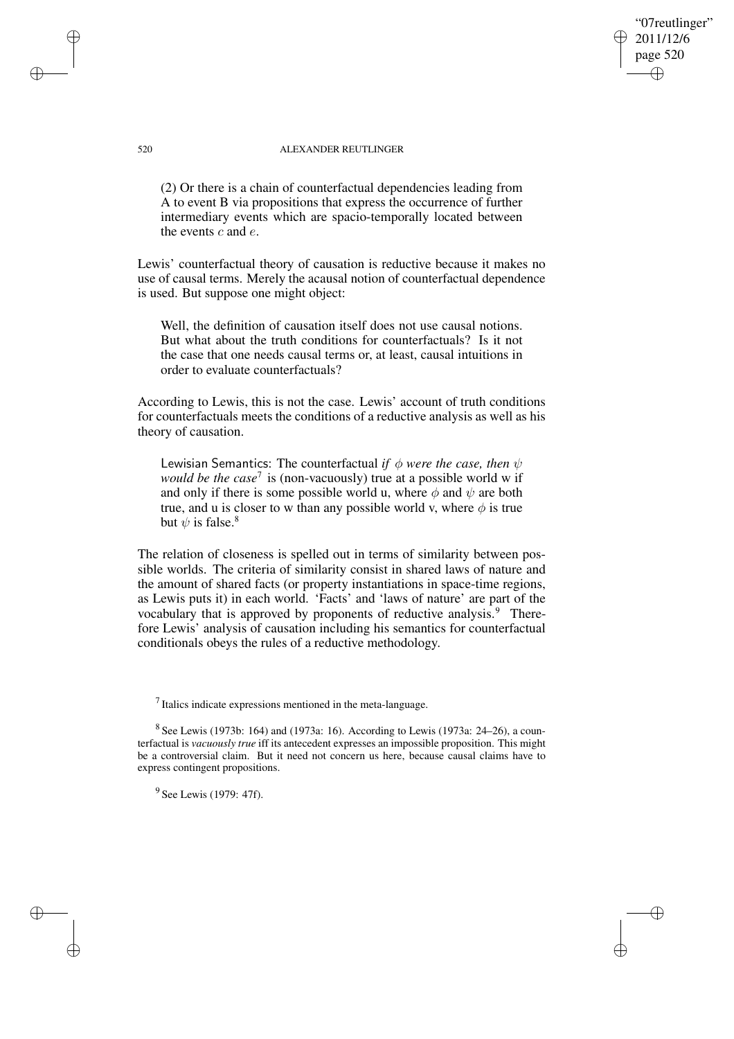"07reutlinger" 2011/12/6 page 520 ✐ ✐

✐

✐

### 520 ALEXANDER REUTLINGER

(2) Or there is a chain of counterfactual dependencies leading from A to event B via propositions that express the occurrence of further intermediary events which are spacio-temporally located between the events c and e.

Lewis' counterfactual theory of causation is reductive because it makes no use of causal terms. Merely the acausal notion of counterfactual dependence is used. But suppose one might object:

Well, the definition of causation itself does not use causal notions. But what about the truth conditions for counterfactuals? Is it not the case that one needs causal terms or, at least, causal intuitions in order to evaluate counterfactuals?

According to Lewis, this is not the case. Lewis' account of truth conditions for counterfactuals meets the conditions of a reductive analysis as well as his theory of causation.

Lewisian Semantics: The counterfactual *if*  $\phi$  *were the case, then*  $\psi$ *would be the case*<sup>7</sup> is (non-vacuously) true at a possible world w if and only if there is some possible world u, where  $\phi$  and  $\psi$  are both true, and u is closer to w than any possible world v, where  $\phi$  is true but  $\psi$  is false.<sup>8</sup>

The relation of closeness is spelled out in terms of similarity between possible worlds. The criteria of similarity consist in shared laws of nature and the amount of shared facts (or property instantiations in space-time regions, as Lewis puts it) in each world. 'Facts' and 'laws of nature' are part of the vocabulary that is approved by proponents of reductive analysis.<sup>9</sup> Therefore Lewis' analysis of causation including his semantics for counterfactual conditionals obeys the rules of a reductive methodology.

 $<sup>7</sup>$  Italics indicate expressions mentioned in the meta-language.</sup>

 $8$  See Lewis (1973b: 164) and (1973a: 16). According to Lewis (1973a: 24–26), a counterfactual is *vacuously true* iff its antecedent expresses an impossible proposition. This might be a controversial claim. But it need not concern us here, because causal claims have to express contingent propositions.

<sup>9</sup> See Lewis (1979: 47f).

✐

✐

✐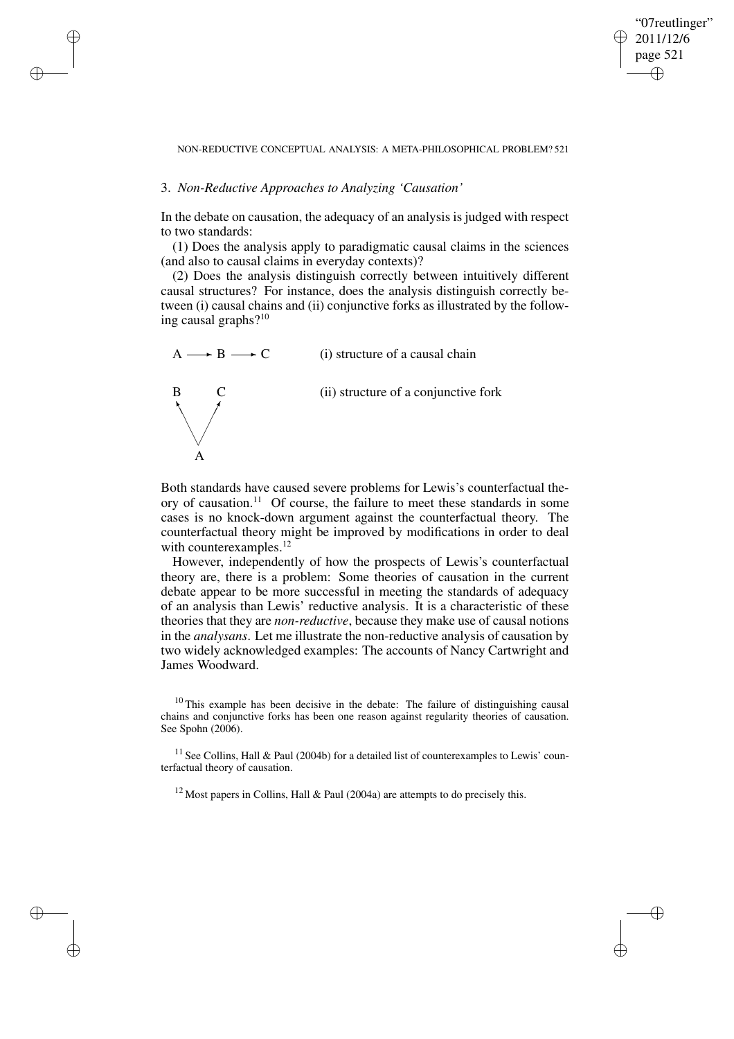✐

#### NON-REDUCTIVE CONCEPTUAL ANALYSIS: A META-PHILOSOPHICAL PROBLEM? 521

### 3. *Non-Reductive Approaches to Analyzing 'Causation'*

✐

✐

✐

✐

In the debate on causation, the adequacy of an analysis is judged with respect to two standards:

(1) Does the analysis apply to paradigmatic causal claims in the sciences (and also to causal claims in everyday contexts)?

(2) Does the analysis distinguish correctly between intuitively different causal structures? For instance, does the analysis distinguish correctly between (i) causal chains and (ii) conjunctive forks as illustrated by the following causal graphs?<sup>10</sup>



Both standards have caused severe problems for Lewis's counterfactual theory of causation.<sup>11</sup> Of course, the failure to meet these standards in some cases is no knock-down argument against the counterfactual theory. The counterfactual theory might be improved by modifications in order to deal with counterexamples.<sup>12</sup>

However, independently of how the prospects of Lewis's counterfactual theory are, there is a problem: Some theories of causation in the current debate appear to be more successful in meeting the standards of adequacy of an analysis than Lewis' reductive analysis. It is a characteristic of these theories that they are *non-reductive*, because they make use of causal notions in the *analysans*. Let me illustrate the non-reductive analysis of causation by two widely acknowledged examples: The accounts of Nancy Cartwright and James Woodward.

 $10$  This example has been decisive in the debate: The failure of distinguishing causal chains and conjunctive forks has been one reason against regularity theories of causation. See Spohn (2006).

<sup>11</sup> See Collins, Hall & Paul (2004b) for a detailed list of counterexamples to Lewis' counterfactual theory of causation.

<sup>12</sup> Most papers in Collins, Hall & Paul (2004a) are attempts to do precisely this.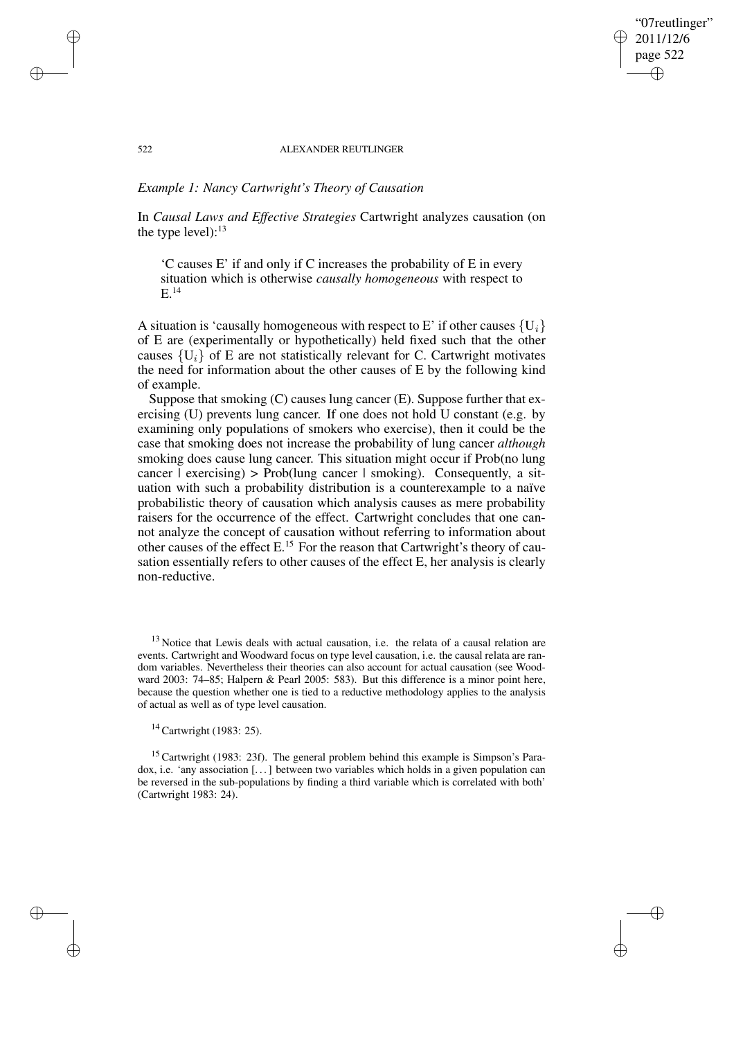### "07reutlinger" 2011/12/6 page 522 ✐ ✐

✐

✐

#### 522 ALEXANDER REUTLINGER

# *Example 1: Nancy Cartwright's Theory of Causation*

✐

✐

✐

✐

In *Causal Laws and Effective Strategies* Cartwright analyzes causation (on the type level): $13$ 

'C causes E' if and only if C increases the probability of E in every situation which is otherwise *causally homogeneous* with respect to E.<sup>14</sup>

A situation is 'causally homogeneous with respect to E' if other causes  $\{U_i\}$ of E are (experimentally or hypothetically) held fixed such that the other causes  $\{U_i\}$  of E are not statistically relevant for C. Cartwright motivates the need for information about the other causes of E by the following kind of example.

Suppose that smoking (C) causes lung cancer (E). Suppose further that exercising (U) prevents lung cancer. If one does not hold U constant (e.g. by examining only populations of smokers who exercise), then it could be the case that smoking does not increase the probability of lung cancer *although* smoking does cause lung cancer. This situation might occur if Prob(no lung cancer  $\vert$  exercising) > Prob(lung cancer  $\vert$  smoking). Consequently, a situation with such a probability distribution is a counterexample to a naïve probabilistic theory of causation which analysis causes as mere probability raisers for the occurrence of the effect. Cartwright concludes that one cannot analyze the concept of causation without referring to information about other causes of the effect E.<sup>15</sup> For the reason that Cartwright's theory of causation essentially refers to other causes of the effect E, her analysis is clearly non-reductive.

<sup>13</sup> Notice that Lewis deals with actual causation, i.e. the relata of a causal relation are events. Cartwright and Woodward focus on type level causation, i.e. the causal relata are random variables. Nevertheless their theories can also account for actual causation (see Woodward 2003: 74–85; Halpern & Pearl 2005: 583). But this difference is a minor point here, because the question whether one is tied to a reductive methodology applies to the analysis of actual as well as of type level causation.

<sup>14</sup> Cartwright (1983: 25).

<sup>15</sup> Cartwright (1983: 23f). The general problem behind this example is Simpson's Paradox, i.e. 'any association [. . .] between two variables which holds in a given population can be reversed in the sub-populations by finding a third variable which is correlated with both' (Cartwright 1983: 24).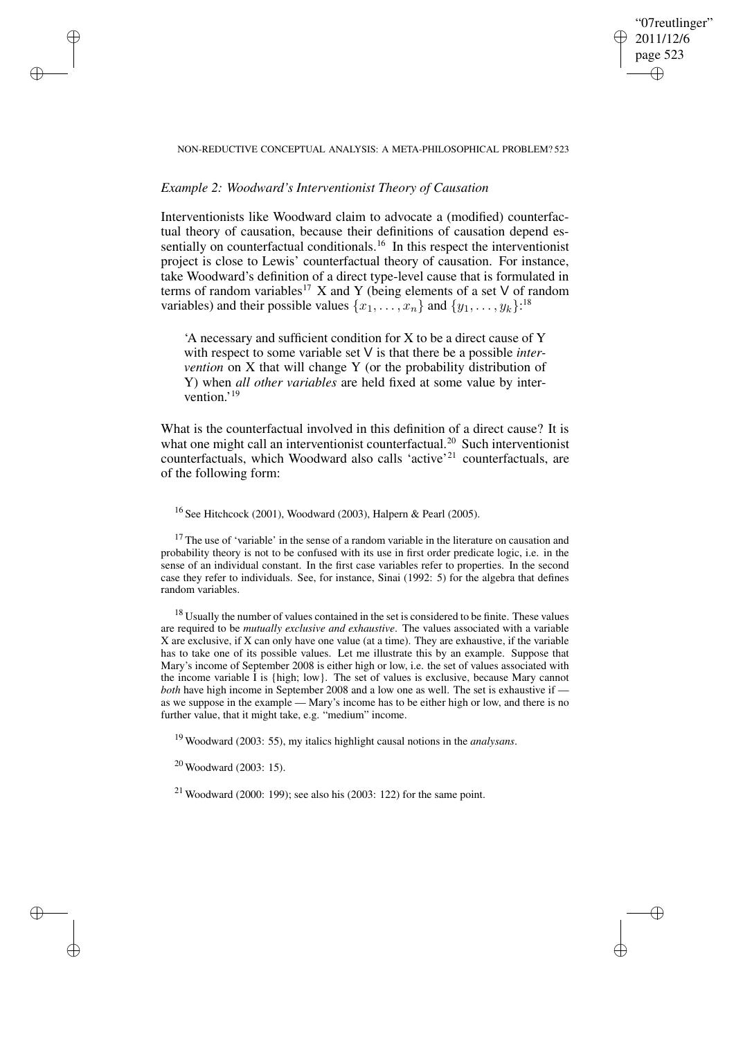### "07reutlinger" 2011/12/6 page 523 ✐ ✐

✐

✐

### NON-REDUCTIVE CONCEPTUAL ANALYSIS: A META-PHILOSOPHICAL PROBLEM? 523

# *Example 2: Woodward's Interventionist Theory of Causation*

✐

✐

✐

✐

Interventionists like Woodward claim to advocate a (modified) counterfactual theory of causation, because their definitions of causation depend essentially on counterfactual conditionals.<sup>16</sup> In this respect the interventionist project is close to Lewis' counterfactual theory of causation. For instance, take Woodward's definition of a direct type-level cause that is formulated in terms of random variables<sup>17</sup> X and Y (being elements of a set V of random variables) and their possible values  $\{x_1, \ldots, x_n\}$  and  $\{y_1, \ldots, y_k\}$ .<sup>18</sup>

'A necessary and sufficient condition for X to be a direct cause of Y with respect to some variable set V is that there be a possible *intervention* on X that will change Y (or the probability distribution of Y) when *all other variables* are held fixed at some value by intervention.' 19

What is the counterfactual involved in this definition of a direct cause? It is what one might call an interventionist counterfactual.<sup>20</sup> Such interventionist counterfactuals, which Woodward also calls 'active'<sup>21</sup> counterfactuals, are of the following form:

<sup>16</sup> See Hitchcock (2001), Woodward (2003), Halpern & Pearl (2005).

 $17$  The use of 'variable' in the sense of a random variable in the literature on causation and probability theory is not to be confused with its use in first order predicate logic, i.e. in the sense of an individual constant. In the first case variables refer to properties. In the second case they refer to individuals. See, for instance, Sinai (1992: 5) for the algebra that defines random variables.

 $18$  Usually the number of values contained in the set is considered to be finite. These values are required to be *mutually exclusive and exhaustive*. The values associated with a variable X are exclusive, if X can only have one value (at a time). They are exhaustive, if the variable has to take one of its possible values. Let me illustrate this by an example. Suppose that Mary's income of September 2008 is either high or low, i.e. the set of values associated with the income variable I is {high; low}. The set of values is exclusive, because Mary cannot *both* have high income in September 2008 and a low one as well. The set is exhaustive if as we suppose in the example — Mary's income has to be either high or low, and there is no further value, that it might take, e.g. "medium" income.

<sup>19</sup> Woodward (2003: 55), my italics highlight causal notions in the *analysans*.

<sup>20</sup> Woodward (2003: 15).

 $21$  Woodward (2000: 199); see also his (2003: 122) for the same point.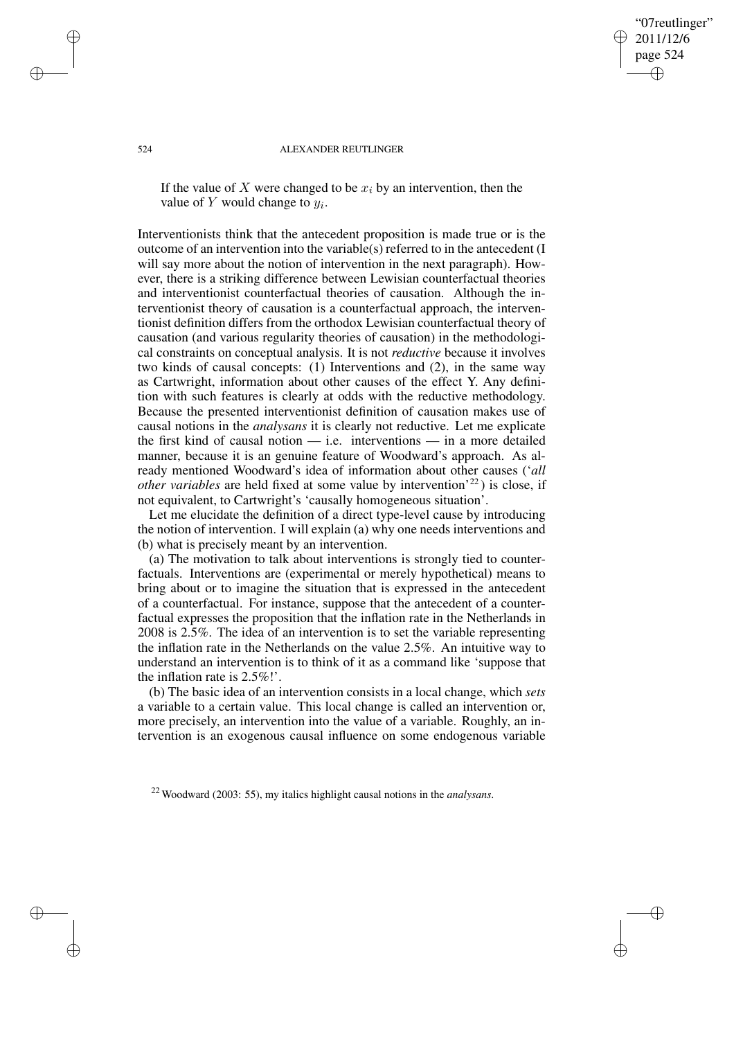"07reutlinger" 2011/12/6 page 524 ✐ ✐

✐

✐

#### 524 ALEXANDER REUTLINGER

If the value of X were changed to be  $x_i$  by an intervention, then the value of  $Y$  would change to  $y_i$ .

Interventionists think that the antecedent proposition is made true or is the outcome of an intervention into the variable(s) referred to in the antecedent (I will say more about the notion of intervention in the next paragraph). However, there is a striking difference between Lewisian counterfactual theories and interventionist counterfactual theories of causation. Although the interventionist theory of causation is a counterfactual approach, the interventionist definition differs from the orthodox Lewisian counterfactual theory of causation (and various regularity theories of causation) in the methodological constraints on conceptual analysis. It is not *reductive* because it involves two kinds of causal concepts: (1) Interventions and (2), in the same way as Cartwright, information about other causes of the effect Y. Any definition with such features is clearly at odds with the reductive methodology. Because the presented interventionist definition of causation makes use of causal notions in the *analysans* it is clearly not reductive. Let me explicate the first kind of causal notion — i.e. interventions — in a more detailed manner, because it is an genuine feature of Woodward's approach. As already mentioned Woodward's idea of information about other causes ('*all other variables* are held fixed at some value by intervention<sup>'22</sup>) is close, if not equivalent, to Cartwright's 'causally homogeneous situation'.

Let me elucidate the definition of a direct type-level cause by introducing the notion of intervention. I will explain (a) why one needs interventions and (b) what is precisely meant by an intervention.

(a) The motivation to talk about interventions is strongly tied to counterfactuals. Interventions are (experimental or merely hypothetical) means to bring about or to imagine the situation that is expressed in the antecedent of a counterfactual. For instance, suppose that the antecedent of a counterfactual expresses the proposition that the inflation rate in the Netherlands in 2008 is 2.5%. The idea of an intervention is to set the variable representing the inflation rate in the Netherlands on the value 2.5%. An intuitive way to understand an intervention is to think of it as a command like 'suppose that the inflation rate is 2.5%!'.

(b) The basic idea of an intervention consists in a local change, which *sets* a variable to a certain value. This local change is called an intervention or, more precisely, an intervention into the value of a variable. Roughly, an intervention is an exogenous causal influence on some endogenous variable

<sup>22</sup> Woodward (2003: 55), my italics highlight causal notions in the *analysans*.

✐

✐

✐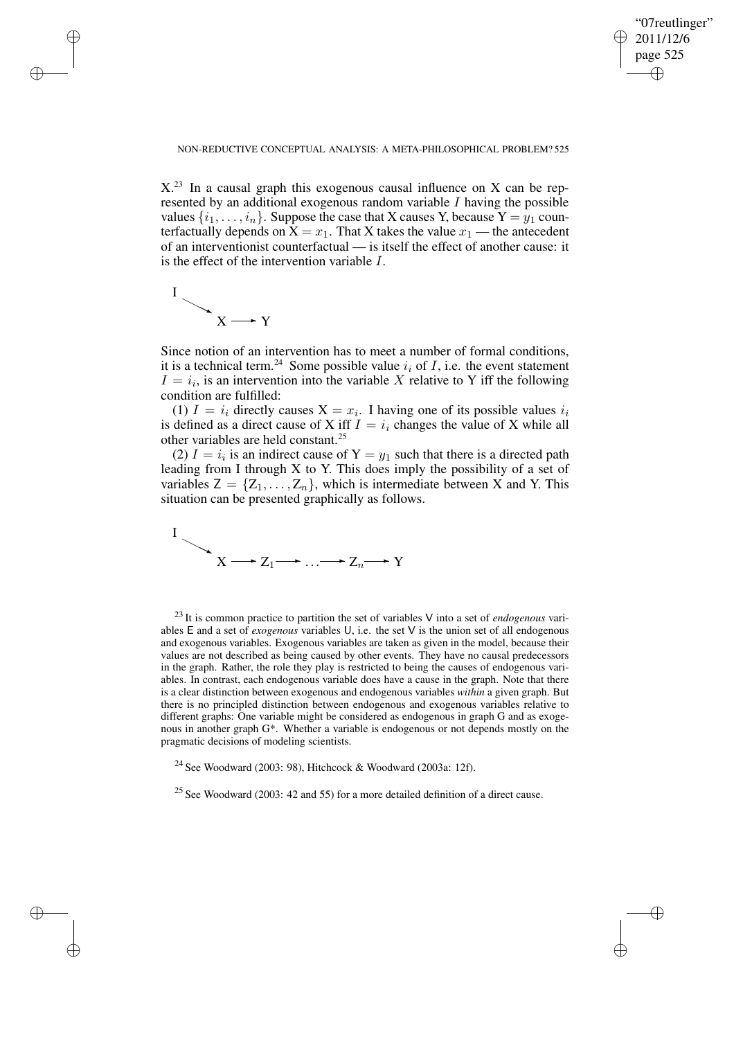✐

### NON-REDUCTIVE CONCEPTUAL ANALYSIS: A META-PHILOSOPHICAL PROBLEM? 525

 $X<sup>23</sup>$  In a causal graph this exogenous causal influence on X can be represented by an additional exogenous random variable  $I$  having the possible values  $\{i_1, \ldots, i_n\}$ . Suppose the case that X causes Y, because  $Y = y_1$  counterfactually depends on  $X = x_1$ . That X takes the value  $x_1$  — the antecedent of an interventionist counterfactual — is itself the effect of another cause: it is the effect of the intervention variable I.



✐

✐

✐

✐

Since notion of an intervention has to meet a number of formal conditions, it is a technical term.<sup>24</sup> Some possible value  $i_i$  of *I*, i.e. the event statement  $I = i_i$ , is an intervention into the variable X relative to Y iff the following condition are fulfilled:

(1)  $I = i_i$  directly causes  $X = x_i$ . I having one of its possible values  $i_i$ is defined as a direct cause of X iff  $I = i_i$  changes the value of X while all other variables are held constant.<sup>25</sup>

(2)  $I = i_i$  is an indirect cause of  $Y = y_1$  such that there is a directed path leading from I through  $X$  to  $Y$ . This does imply the possibility of a set of variables  $Z = \{Z_1, \ldots, Z_n\}$ , which is intermediate between X and Y. This situation can be presented graphically as follows.



<sup>23</sup> It is common practice to partition the set of variables V into a set of *endogenous* variables E and a set of *exogenous* variables U, i.e. the set V is the union set of all endogenous and exogenous variables. Exogenous variables are taken as given in the model, because their values are not described as being caused by other events. They have no causal predecessors in the graph. Rather, the role they play is restricted to being the causes of endogenous variables. In contrast, each endogenous variable does have a cause in the graph. Note that there is a clear distinction between exogenous and endogenous variables *within* a given graph. But there is no principled distinction between endogenous and exogenous variables relative to different graphs: One variable might be considered as endogenous in graph G and as exogenous in another graph G\*. Whether a variable is endogenous or not depends mostly on the pragmatic decisions of modeling scientists.

<sup>24</sup> See Woodward (2003: 98), Hitchcock & Woodward (2003a: 12f).

 $25$  See Woodward (2003: 42 and 55) for a more detailed definition of a direct cause.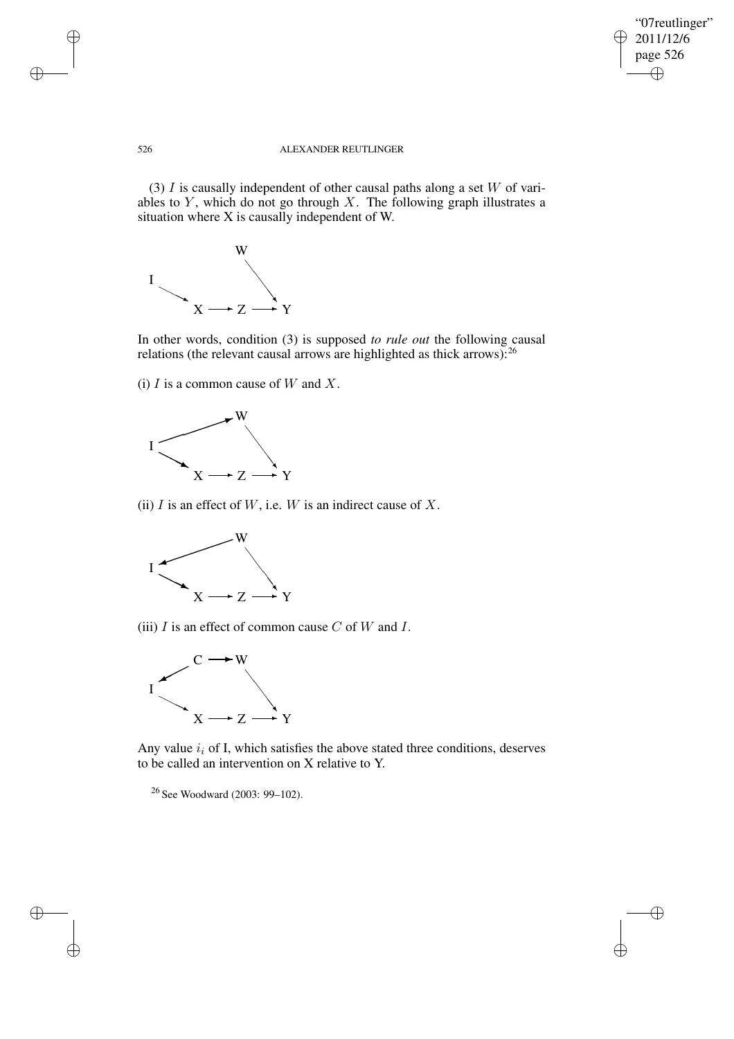$\bigoplus$ 

 $\oplus$ 

### 526 ALEXANDER REUTLINGER

(3)  $I$  is causally independent of other causal paths along a set  $W$  of variables to  $Y$ , which do not go through  $X$ . The following graph illustrates a situation where X is causally independent of W.



In other words, condition (3) is supposed *to rule out* the following causal relations (the relevant causal arrows are highlighted as thick arrows):<sup>26</sup>

(i)  $I$  is a common cause of  $W$  and  $X$ .



(ii)  $I$  is an effect of  $W$ , i.e.  $W$  is an indirect cause of  $X$ .



(iii)  $I$  is an effect of common cause  $C$  of  $W$  and  $I$ .



Any value  $i_i$  of I, which satisfies the above stated three conditions, deserves to be called an intervention on X relative to Y.

<sup>26</sup> See Woodward (2003: 99–102).

✐

✐

✐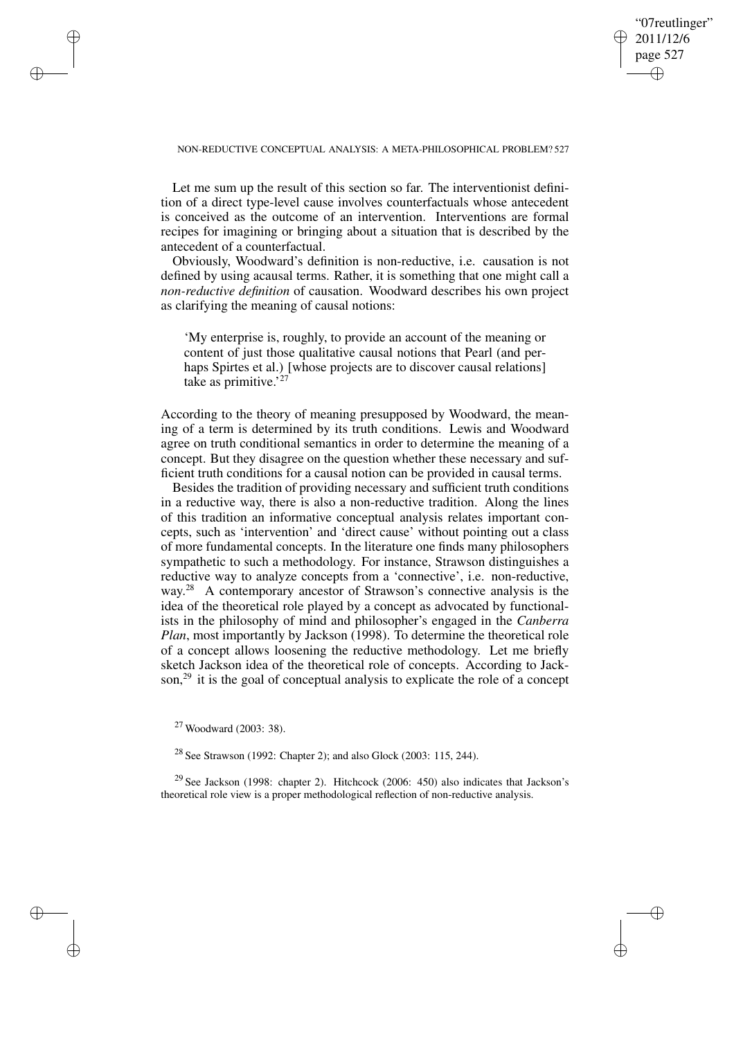### "07reutlinger" 2011/12/6 page 527 ✐ ✐

✐

✐

### NON-REDUCTIVE CONCEPTUAL ANALYSIS: A META-PHILOSOPHICAL PROBLEM? 527

Let me sum up the result of this section so far. The interventionist definition of a direct type-level cause involves counterfactuals whose antecedent is conceived as the outcome of an intervention. Interventions are formal recipes for imagining or bringing about a situation that is described by the antecedent of a counterfactual.

Obviously, Woodward's definition is non-reductive, i.e. causation is not defined by using acausal terms. Rather, it is something that one might call a *non-reductive definition* of causation. Woodward describes his own project as clarifying the meaning of causal notions:

'My enterprise is, roughly, to provide an account of the meaning or content of just those qualitative causal notions that Pearl (and perhaps Spirtes et al.) [whose projects are to discover causal relations] take as primitive.'<sup>27</sup>

According to the theory of meaning presupposed by Woodward, the meaning of a term is determined by its truth conditions. Lewis and Woodward agree on truth conditional semantics in order to determine the meaning of a concept. But they disagree on the question whether these necessary and sufficient truth conditions for a causal notion can be provided in causal terms.

Besides the tradition of providing necessary and sufficient truth conditions in a reductive way, there is also a non-reductive tradition. Along the lines of this tradition an informative conceptual analysis relates important concepts, such as 'intervention' and 'direct cause' without pointing out a class of more fundamental concepts. In the literature one finds many philosophers sympathetic to such a methodology. For instance, Strawson distinguishes a reductive way to analyze concepts from a 'connective', i.e. non-reductive, way.<sup>28</sup> A contemporary ancestor of Strawson's connective analysis is the idea of the theoretical role played by a concept as advocated by functionalists in the philosophy of mind and philosopher's engaged in the *Canberra Plan*, most importantly by Jackson (1998). To determine the theoretical role of a concept allows loosening the reductive methodology. Let me briefly sketch Jackson idea of the theoretical role of concepts. According to Jackson,<sup>29</sup> it is the goal of conceptual analysis to explicate the role of a concept

✐

✐

✐

✐

<sup>29</sup> See Jackson (1998: chapter 2). Hitchcock (2006: 450) also indicates that Jackson's theoretical role view is a proper methodological reflection of non-reductive analysis.

<sup>27</sup> Woodward (2003: 38).

<sup>28</sup> See Strawson (1992: Chapter 2); and also Glock (2003: 115, 244).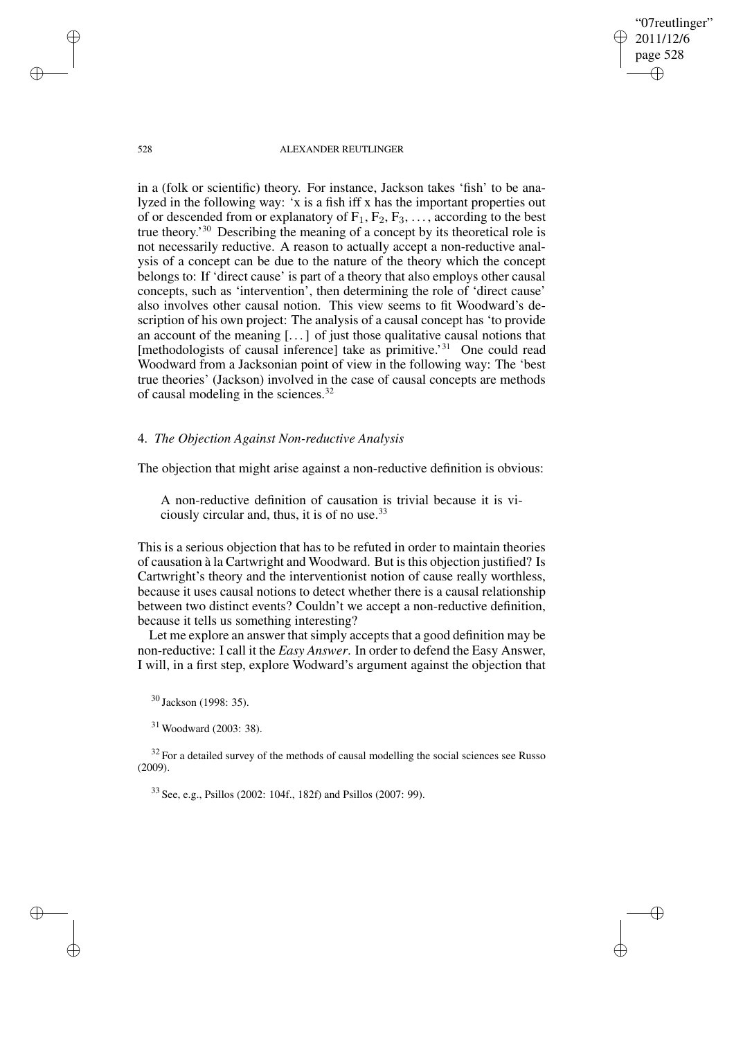2011/12/6 page 528 ✐

✐

✐

✐

"07reutlinger"

### 528 ALEXANDER REUTLINGER

in a (folk or scientific) theory. For instance, Jackson takes 'fish' to be analyzed in the following way: 'x is a fish iff x has the important properties out of or descended from or explanatory of  $F_1, F_2, F_3, \ldots$ , according to the best true theory.' <sup>30</sup> Describing the meaning of a concept by its theoretical role is not necessarily reductive. A reason to actually accept a non-reductive analysis of a concept can be due to the nature of the theory which the concept belongs to: If 'direct cause' is part of a theory that also employs other causal concepts, such as 'intervention', then determining the role of 'direct cause' also involves other causal notion. This view seems to fit Woodward's description of his own project: The analysis of a causal concept has 'to provide an account of the meaning [. . .] of just those qualitative causal notions that [methodologists of causal inference] take as primitive.'<sup>31</sup> One could read Woodward from a Jacksonian point of view in the following way: The 'best true theories' (Jackson) involved in the case of causal concepts are methods of causal modeling in the sciences.<sup>32</sup>

# 4. *The Objection Against Non-reductive Analysis*

The objection that might arise against a non-reductive definition is obvious:

A non-reductive definition of causation is trivial because it is viciously circular and, thus, it is of no use.<sup>33</sup>

This is a serious objection that has to be refuted in order to maintain theories of causation à la Cartwright and Woodward. But isthis objection justified? Is Cartwright's theory and the interventionist notion of cause really worthless, because it uses causal notions to detect whether there is a causal relationship between two distinct events? Couldn't we accept a non-reductive definition, because it tells us something interesting?

Let me explore an answer that simply accepts that a good definition may be non-reductive: I call it the *Easy Answer*. In order to defend the Easy Answer, I will, in a first step, explore Wodward's argument against the objection that

<sup>30</sup> Jackson (1998: 35).

<sup>31</sup> Woodward (2003: 38).

 $32$  For a detailed survey of the methods of causal modelling the social sciences see Russo (2009).

<sup>33</sup> See, e.g., Psillos (2002: 104f., 182f) and Psillos (2007: 99).

✐

✐

✐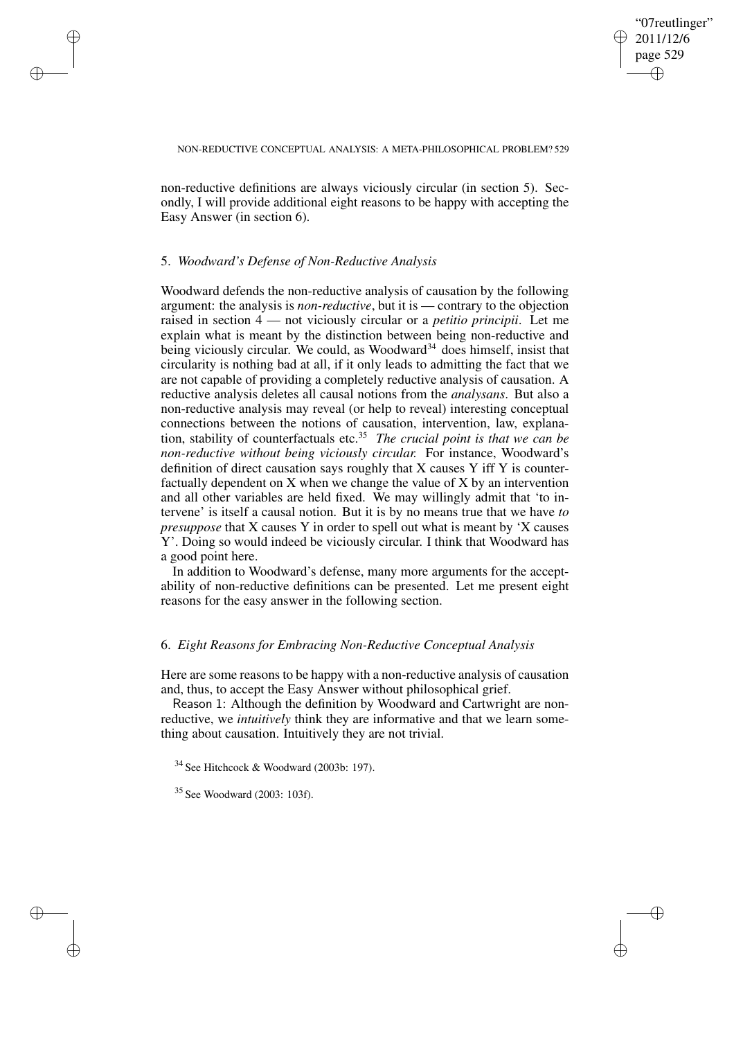✐

### NON-REDUCTIVE CONCEPTUAL ANALYSIS: A META-PHILOSOPHICAL PROBLEM? 529

non-reductive definitions are always viciously circular (in section 5). Secondly, I will provide additional eight reasons to be happy with accepting the Easy Answer (in section 6).

### 5. *Woodward's Defense of Non-Reductive Analysis*

✐

✐

✐

✐

Woodward defends the non-reductive analysis of causation by the following argument: the analysis is *non-reductive*, but it is — contrary to the objection raised in section 4 — not viciously circular or a *petitio principii*. Let me explain what is meant by the distinction between being non-reductive and being viciously circular. We could, as Woodward<sup>34</sup> does himself, insist that circularity is nothing bad at all, if it only leads to admitting the fact that we are not capable of providing a completely reductive analysis of causation. A reductive analysis deletes all causal notions from the *analysans*. But also a non-reductive analysis may reveal (or help to reveal) interesting conceptual connections between the notions of causation, intervention, law, explanation, stability of counterfactuals etc.<sup>35</sup> *The crucial point is that we can be non-reductive without being viciously circular.* For instance, Woodward's definition of direct causation says roughly that X causes Y iff Y is counterfactually dependent on X when we change the value of X by an intervention and all other variables are held fixed. We may willingly admit that 'to intervene' is itself a causal notion. But it is by no means true that we have *to presuppose* that X causes Y in order to spell out what is meant by 'X causes Y'. Doing so would indeed be viciously circular. I think that Woodward has a good point here.

In addition to Woodward's defense, many more arguments for the acceptability of non-reductive definitions can be presented. Let me present eight reasons for the easy answer in the following section.

# 6. *Eight Reasons for Embracing Non-Reductive Conceptual Analysis*

Here are some reasons to be happy with a non-reductive analysis of causation and, thus, to accept the Easy Answer without philosophical grief.

Reason 1: Although the definition by Woodward and Cartwright are nonreductive, we *intuitively* think they are informative and that we learn something about causation. Intuitively they are not trivial.

<sup>34</sup> See Hitchcock & Woodward (2003b: 197).

<sup>35</sup> See Woodward (2003: 103f).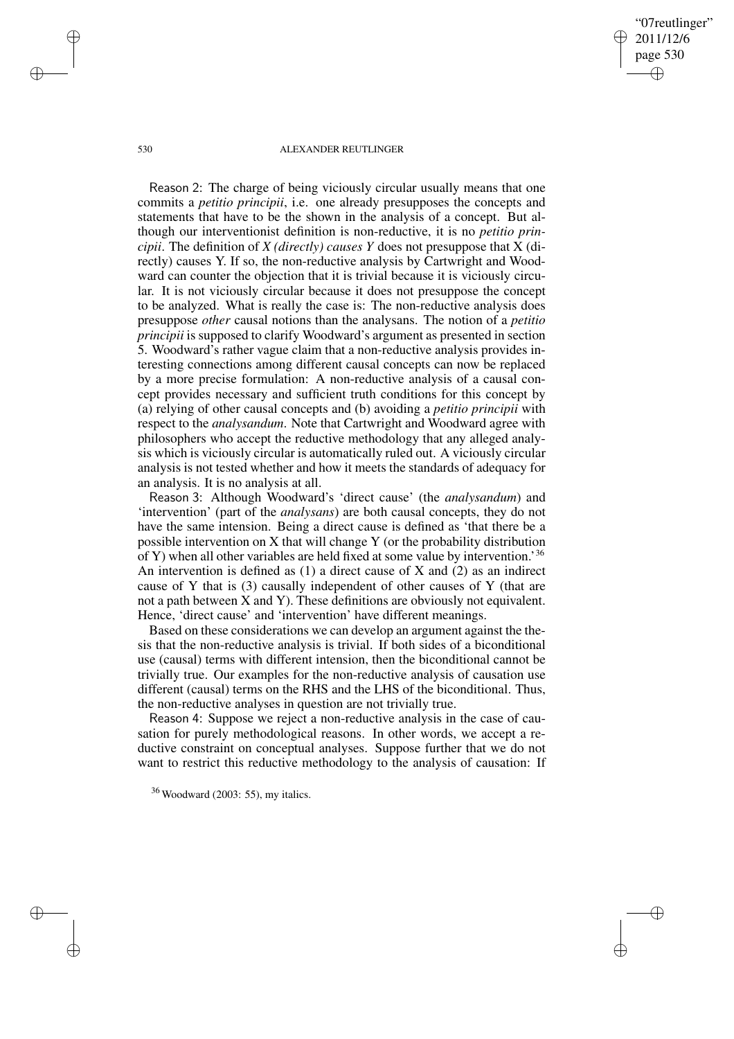"07reutlinger" 2011/12/6 page 530 ✐ ✐

✐

✐

#### 530 ALEXANDER REUTLINGER

Reason 2: The charge of being viciously circular usually means that one commits a *petitio principii*, i.e. one already presupposes the concepts and statements that have to be the shown in the analysis of a concept. But although our interventionist definition is non-reductive, it is no *petitio principii*. The definition of *X (directly) causes Y* does not presuppose that X (directly) causes Y. If so, the non-reductive analysis by Cartwright and Woodward can counter the objection that it is trivial because it is viciously circular. It is not viciously circular because it does not presuppose the concept to be analyzed. What is really the case is: The non-reductive analysis does presuppose *other* causal notions than the analysans. The notion of a *petitio principii* is supposed to clarify Woodward's argument as presented in section 5. Woodward's rather vague claim that a non-reductive analysis provides interesting connections among different causal concepts can now be replaced by a more precise formulation: A non-reductive analysis of a causal concept provides necessary and sufficient truth conditions for this concept by (a) relying of other causal concepts and (b) avoiding a *petitio principii* with respect to the *analysandum*. Note that Cartwright and Woodward agree with philosophers who accept the reductive methodology that any alleged analysis which is viciously circular is automatically ruled out. A viciously circular analysis is not tested whether and how it meets the standards of adequacy for an analysis. It is no analysis at all.

Reason 3: Although Woodward's 'direct cause' (the *analysandum*) and 'intervention' (part of the *analysans*) are both causal concepts, they do not have the same intension. Being a direct cause is defined as 'that there be a possible intervention on X that will change Y (or the probability distribution of Y) when all other variables are held fixed at some value by intervention.' 36 An intervention is defined as  $(1)$  a direct cause of X and  $(2)$  as an indirect cause of Y that is (3) causally independent of other causes of Y (that are not a path between X and Y). These definitions are obviously not equivalent. Hence, 'direct cause' and 'intervention' have different meanings.

Based on these considerations we can develop an argument against the thesis that the non-reductive analysis is trivial. If both sides of a biconditional use (causal) terms with different intension, then the biconditional cannot be trivially true. Our examples for the non-reductive analysis of causation use different (causal) terms on the RHS and the LHS of the biconditional. Thus, the non-reductive analyses in question are not trivially true.

Reason 4: Suppose we reject a non-reductive analysis in the case of causation for purely methodological reasons. In other words, we accept a reductive constraint on conceptual analyses. Suppose further that we do not want to restrict this reductive methodology to the analysis of causation: If

✐

✐

✐

<sup>36</sup> Woodward (2003: 55), my italics.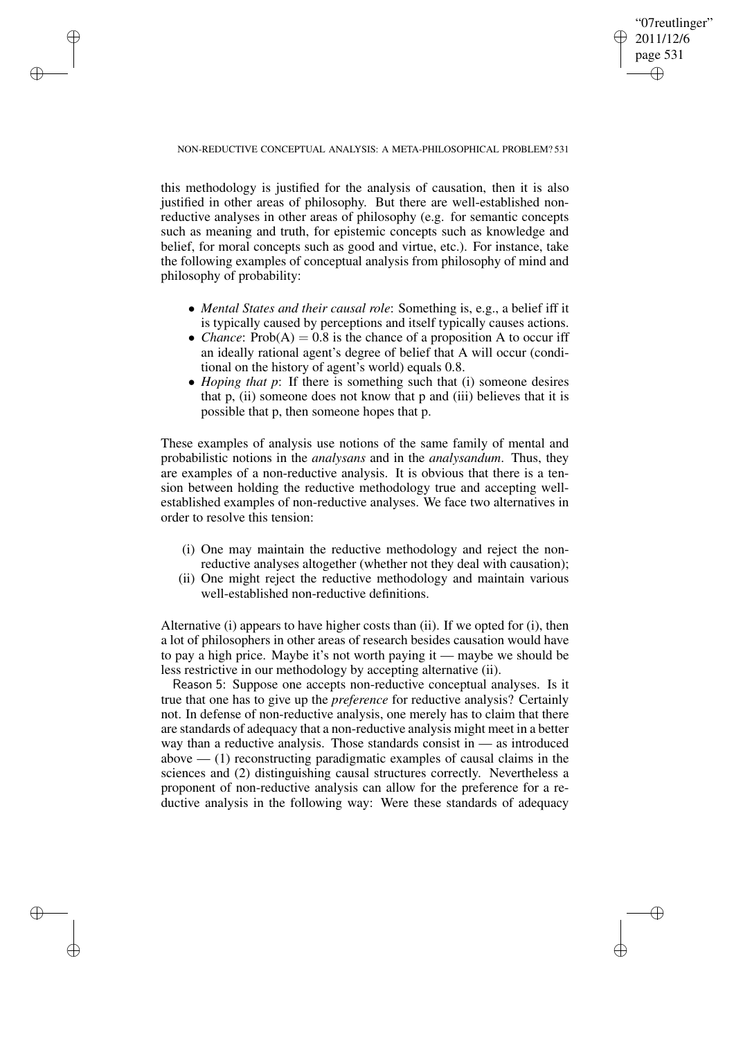✐

NON-REDUCTIVE CONCEPTUAL ANALYSIS: A META-PHILOSOPHICAL PROBLEM? 531

✐

✐

✐

✐

this methodology is justified for the analysis of causation, then it is also justified in other areas of philosophy. But there are well-established nonreductive analyses in other areas of philosophy (e.g. for semantic concepts such as meaning and truth, for epistemic concepts such as knowledge and belief, for moral concepts such as good and virtue, etc.). For instance, take the following examples of conceptual analysis from philosophy of mind and philosophy of probability:

- *Mental States and their causal role*: Something is, e.g., a belief iff it is typically caused by perceptions and itself typically causes actions.
- *Chance*:  $Prob(A) = 0.8$  is the chance of a proposition A to occur iff an ideally rational agent's degree of belief that A will occur (conditional on the history of agent's world) equals 0.8.
- *Hoping that p*: If there is something such that (i) someone desires that p, (ii) someone does not know that p and (iii) believes that it is possible that p, then someone hopes that p.

These examples of analysis use notions of the same family of mental and probabilistic notions in the *analysans* and in the *analysandum*. Thus, they are examples of a non-reductive analysis. It is obvious that there is a tension between holding the reductive methodology true and accepting wellestablished examples of non-reductive analyses. We face two alternatives in order to resolve this tension:

- (i) One may maintain the reductive methodology and reject the nonreductive analyses altogether (whether not they deal with causation);
- (ii) One might reject the reductive methodology and maintain various well-established non-reductive definitions.

Alternative (i) appears to have higher costs than (ii). If we opted for (i), then a lot of philosophers in other areas of research besides causation would have to pay a high price. Maybe it's not worth paying it — maybe we should be less restrictive in our methodology by accepting alternative (ii).

Reason 5: Suppose one accepts non-reductive conceptual analyses. Is it true that one has to give up the *preference* for reductive analysis? Certainly not. In defense of non-reductive analysis, one merely has to claim that there are standards of adequacy that a non-reductive analysis might meet in a better way than a reductive analysis. Those standards consist in — as introduced above  $-$  (1) reconstructing paradigmatic examples of causal claims in the sciences and (2) distinguishing causal structures correctly. Nevertheless a proponent of non-reductive analysis can allow for the preference for a reductive analysis in the following way: Were these standards of adequacy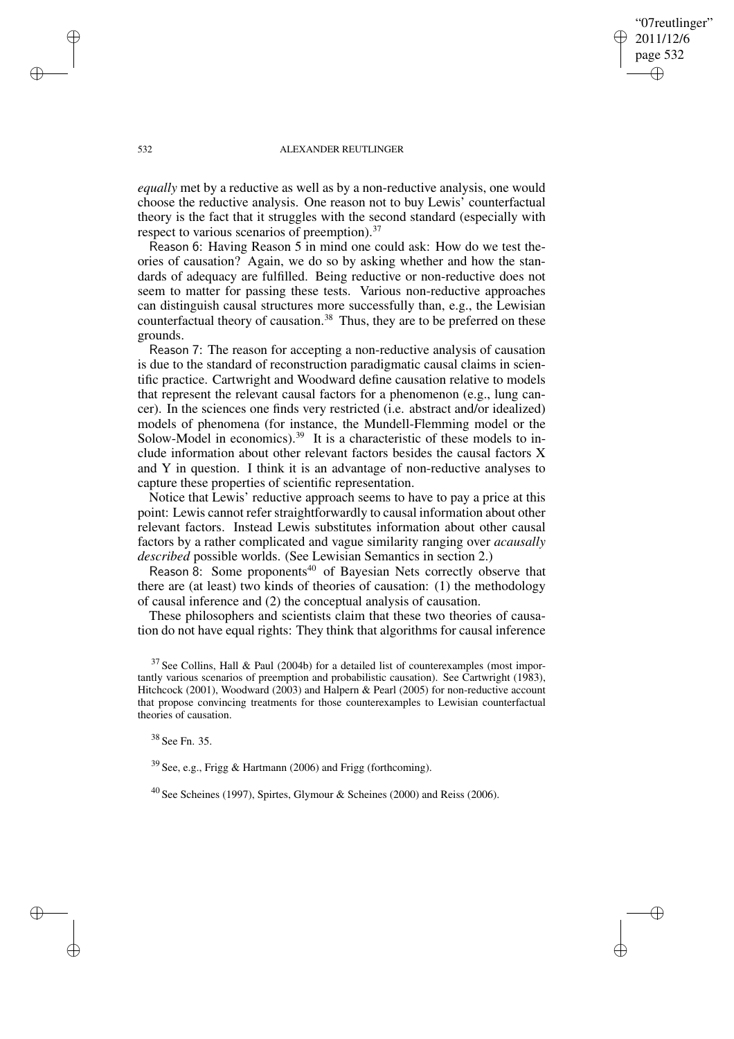"07reutlinger" 2011/12/6 page 532 ✐ ✐

✐

✐

### 532 ALEXANDER REUTLINGER

*equally* met by a reductive as well as by a non-reductive analysis, one would choose the reductive analysis. One reason not to buy Lewis' counterfactual theory is the fact that it struggles with the second standard (especially with respect to various scenarios of preemption).<sup>37</sup>

Reason 6: Having Reason 5 in mind one could ask: How do we test theories of causation? Again, we do so by asking whether and how the standards of adequacy are fulfilled. Being reductive or non-reductive does not seem to matter for passing these tests. Various non-reductive approaches can distinguish causal structures more successfully than, e.g., the Lewisian counterfactual theory of causation.<sup>38</sup> Thus, they are to be preferred on these grounds.

Reason 7: The reason for accepting a non-reductive analysis of causation is due to the standard of reconstruction paradigmatic causal claims in scientific practice. Cartwright and Woodward define causation relative to models that represent the relevant causal factors for a phenomenon (e.g., lung cancer). In the sciences one finds very restricted (i.e. abstract and/or idealized) models of phenomena (for instance, the Mundell-Flemming model or the Solow-Model in economics).<sup>39</sup> It is a characteristic of these models to include information about other relevant factors besides the causal factors X and Y in question. I think it is an advantage of non-reductive analyses to capture these properties of scientific representation.

Notice that Lewis' reductive approach seems to have to pay a price at this point: Lewis cannot refer straightforwardly to causal information about other relevant factors. Instead Lewis substitutes information about other causal factors by a rather complicated and vague similarity ranging over *acausally described* possible worlds. (See Lewisian Semantics in section 2.)

Reason 8: Some proponents<sup>40</sup> of Bayesian Nets correctly observe that there are (at least) two kinds of theories of causation: (1) the methodology of causal inference and (2) the conceptual analysis of causation.

These philosophers and scientists claim that these two theories of causation do not have equal rights: They think that algorithms for causal inference

<sup>38</sup> See Fn. 35.

<sup>39</sup> See, e.g., Frigg & Hartmann (2006) and Frigg (forthcoming).

<sup>40</sup> See Scheines (1997), Spirtes, Glymour & Scheines (2000) and Reiss (2006).

✐

✐

✐

 $37$  See Collins, Hall & Paul (2004b) for a detailed list of counterexamples (most importantly various scenarios of preemption and probabilistic causation). See Cartwright (1983), Hitchcock (2001), Woodward (2003) and Halpern & Pearl (2005) for non-reductive account that propose convincing treatments for those counterexamples to Lewisian counterfactual theories of causation.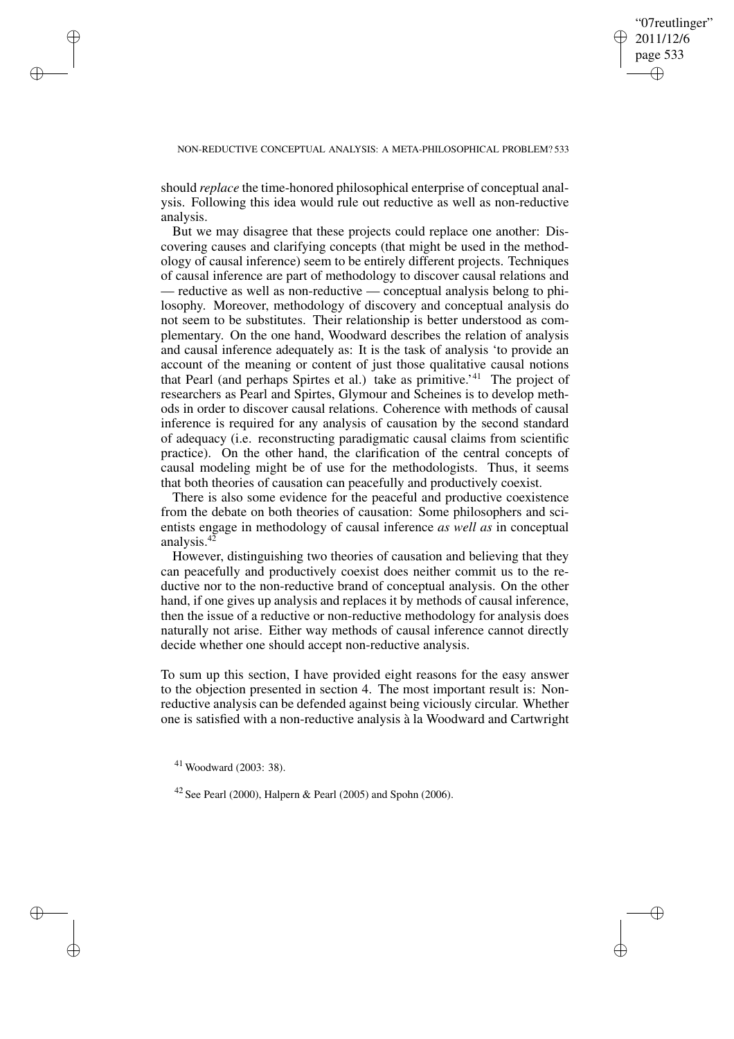✐

### NON-REDUCTIVE CONCEPTUAL ANALYSIS: A META-PHILOSOPHICAL PROBLEM? 533

should *replace* the time-honored philosophical enterprise of conceptual analysis. Following this idea would rule out reductive as well as non-reductive analysis.

But we may disagree that these projects could replace one another: Discovering causes and clarifying concepts (that might be used in the methodology of causal inference) seem to be entirely different projects. Techniques of causal inference are part of methodology to discover causal relations and — reductive as well as non-reductive — conceptual analysis belong to philosophy. Moreover, methodology of discovery and conceptual analysis do not seem to be substitutes. Their relationship is better understood as complementary. On the one hand, Woodward describes the relation of analysis and causal inference adequately as: It is the task of analysis 'to provide an account of the meaning or content of just those qualitative causal notions that Pearl (and perhaps Spirtes et al.) take as primitive.' <sup>41</sup> The project of researchers as Pearl and Spirtes, Glymour and Scheines is to develop methods in order to discover causal relations. Coherence with methods of causal inference is required for any analysis of causation by the second standard of adequacy (i.e. reconstructing paradigmatic causal claims from scientific practice). On the other hand, the clarification of the central concepts of causal modeling might be of use for the methodologists. Thus, it seems that both theories of causation can peacefully and productively coexist.

There is also some evidence for the peaceful and productive coexistence from the debate on both theories of causation: Some philosophers and scientists engage in methodology of causal inference *as well as* in conceptual analysis.<sup>42</sup>

However, distinguishing two theories of causation and believing that they can peacefully and productively coexist does neither commit us to the reductive nor to the non-reductive brand of conceptual analysis. On the other hand, if one gives up analysis and replaces it by methods of causal inference, then the issue of a reductive or non-reductive methodology for analysis does naturally not arise. Either way methods of causal inference cannot directly decide whether one should accept non-reductive analysis.

To sum up this section, I have provided eight reasons for the easy answer to the objection presented in section 4. The most important result is: Nonreductive analysis can be defended against being viciously circular. Whether one is satisfied with a non-reductive analysis à la Woodward and Cartwright

<sup>41</sup> Woodward (2003: 38).

✐

✐

✐

✐

<sup>42</sup> See Pearl (2000), Halpern & Pearl (2005) and Spohn (2006).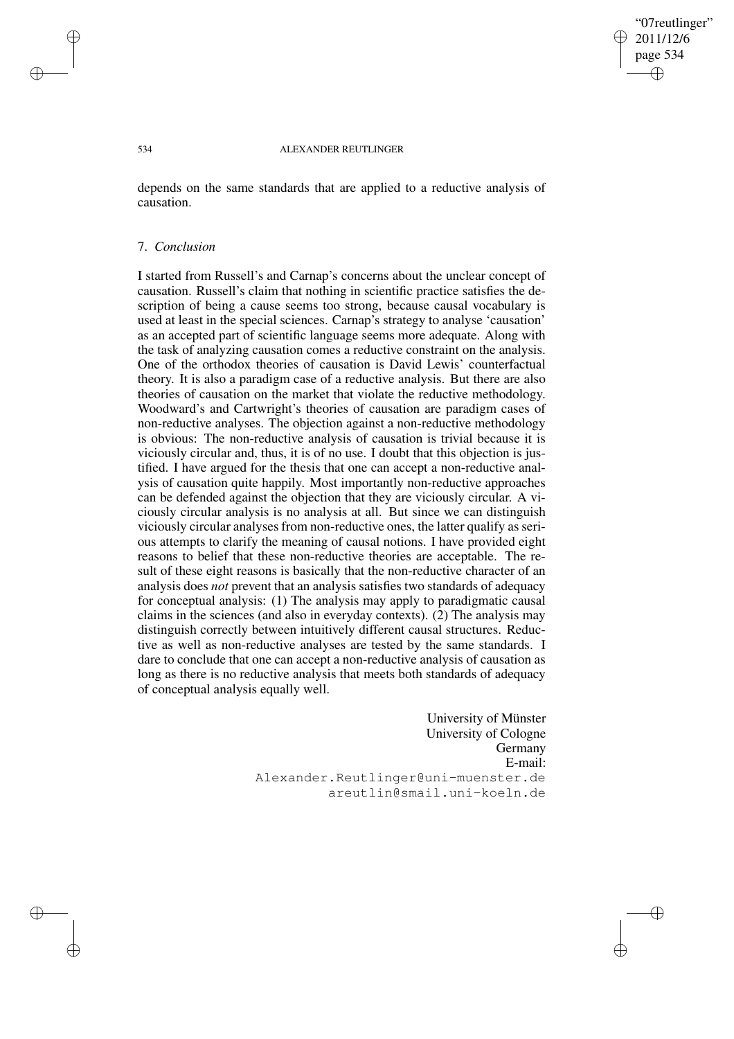### "07reutlinger" 2011/12/6 page 534 ✐ ✐

✐

✐

#### 534 ALEXANDER REUTLINGER

depends on the same standards that are applied to a reductive analysis of causation.

### 7. *Conclusion*

I started from Russell's and Carnap's concerns about the unclear concept of causation. Russell's claim that nothing in scientific practice satisfies the description of being a cause seems too strong, because causal vocabulary is used at least in the special sciences. Carnap's strategy to analyse 'causation' as an accepted part of scientific language seems more adequate. Along with the task of analyzing causation comes a reductive constraint on the analysis. One of the orthodox theories of causation is David Lewis' counterfactual theory. It is also a paradigm case of a reductive analysis. But there are also theories of causation on the market that violate the reductive methodology. Woodward's and Cartwright's theories of causation are paradigm cases of non-reductive analyses. The objection against a non-reductive methodology is obvious: The non-reductive analysis of causation is trivial because it is viciously circular and, thus, it is of no use. I doubt that this objection is justified. I have argued for the thesis that one can accept a non-reductive analysis of causation quite happily. Most importantly non-reductive approaches can be defended against the objection that they are viciously circular. A viciously circular analysis is no analysis at all. But since we can distinguish viciously circular analyses from non-reductive ones, the latter qualify as serious attempts to clarify the meaning of causal notions. I have provided eight reasons to belief that these non-reductive theories are acceptable. The result of these eight reasons is basically that the non-reductive character of an analysis does *not* prevent that an analysis satisfies two standards of adequacy for conceptual analysis: (1) The analysis may apply to paradigmatic causal claims in the sciences (and also in everyday contexts). (2) The analysis may distinguish correctly between intuitively different causal structures. Reductive as well as non-reductive analyses are tested by the same standards. I dare to conclude that one can accept a non-reductive analysis of causation as long as there is no reductive analysis that meets both standards of adequacy of conceptual analysis equally well.

> University of Münster University of Cologne Germany E-mail: Alexander.Reutlinger@uni-muenster.de areutlin@smail.uni-koeln.de

✐

✐

✐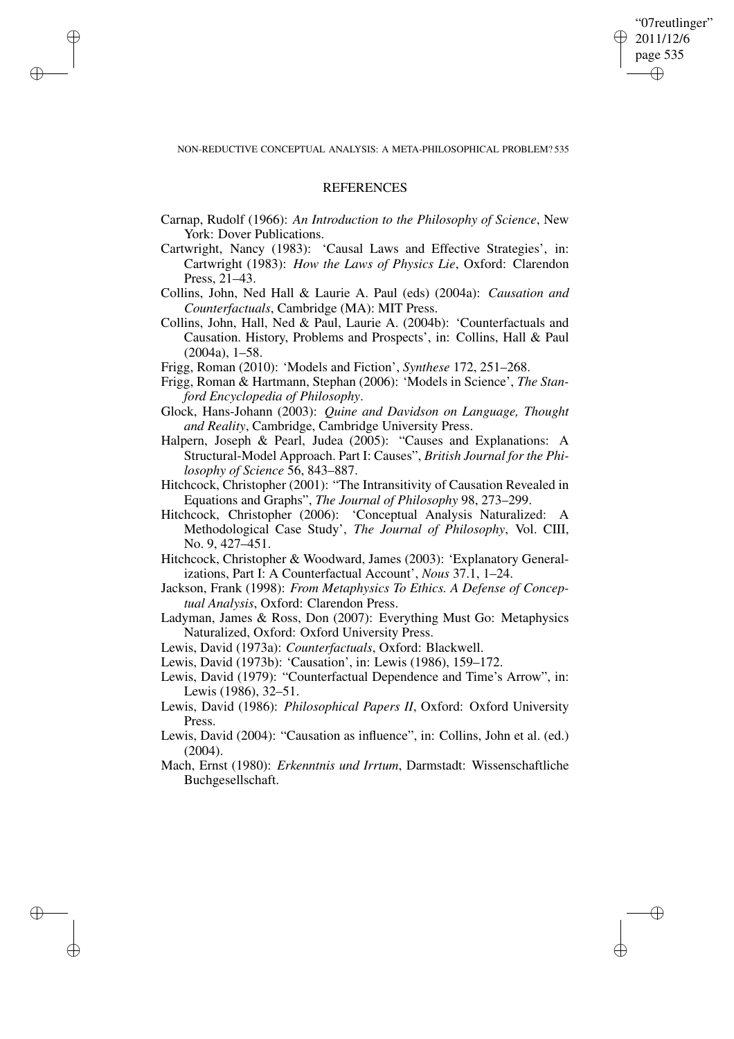"07reutlinger" 2011/12/6 page 535 ✐ ✐

✐

✐

NON-REDUCTIVE CONCEPTUAL ANALYSIS: A META-PHILOSOPHICAL PROBLEM? 535

# **REFERENCES**

✐

✐

✐

- Carnap, Rudolf (1966): *An Introduction to the Philosophy of Science*, New York: Dover Publications.
- Cartwright, Nancy (1983): 'Causal Laws and Effective Strategies', in: Cartwright (1983): *How the Laws of Physics Lie*, Oxford: Clarendon Press, 21–43.
- Collins, John, Ned Hall & Laurie A. Paul (eds) (2004a): *Causation and Counterfactuals*, Cambridge (MA): MIT Press.
- Collins, John, Hall, Ned & Paul, Laurie A. (2004b): 'Counterfactuals and Causation. History, Problems and Prospects', in: Collins, Hall & Paul (2004a), 1–58.
- Frigg, Roman (2010): 'Models and Fiction', *Synthese* 172, 251–268.
- Frigg, Roman & Hartmann, Stephan (2006): 'Models in Science', *The Stanford Encyclopedia of Philosophy*.
- Glock, Hans-Johann (2003): *Quine and Davidson on Language, Thought and Reality*, Cambridge, Cambridge University Press.
- Halpern, Joseph & Pearl, Judea (2005): "Causes and Explanations: A Structural-Model Approach. Part I: Causes", *British Journal for the Philosophy of Science* 56, 843–887.
- Hitchcock, Christopher (2001): "The Intransitivity of Causation Revealed in Equations and Graphs", *The Journal of Philosophy* 98, 273–299.
- Hitchcock, Christopher (2006): 'Conceptual Analysis Naturalized: A Methodological Case Study', *The Journal of Philosophy*, Vol. CIII, No. 9, 427–451.
- Hitchcock, Christopher & Woodward, James (2003): 'Explanatory Generalizations, Part I: A Counterfactual Account', *Nous* 37.1, 1–24.
- Jackson, Frank (1998): *From Metaphysics To Ethics. A Defense of Conceptual Analysis*, Oxford: Clarendon Press.
- Ladyman, James & Ross, Don (2007): Everything Must Go: Metaphysics Naturalized, Oxford: Oxford University Press.
- Lewis, David (1973a): *Counterfactuals*, Oxford: Blackwell.
- Lewis, David (1973b): 'Causation', in: Lewis (1986), 159–172.
- Lewis, David (1979): "Counterfactual Dependence and Time's Arrow", in: Lewis (1986), 32–51.
- Lewis, David (1986): *Philosophical Papers II*, Oxford: Oxford University Press.
- Lewis, David (2004): "Causation as influence", in: Collins, John et al. (ed.) (2004).
- Mach, Ernst (1980): *Erkenntnis und Irrtum*, Darmstadt: Wissenschaftliche Buchgesellschaft.